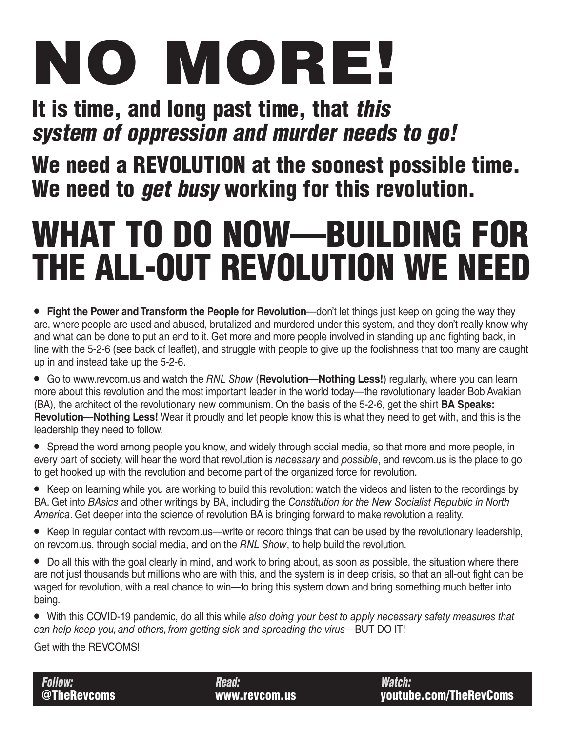# NO MORE!

### It is time, and long past time, that this system of oppression and murder needs to go!

### We need a REVOLUTION at the soonest possible time. We need to *get busy* working for this revolution.

## WHAT TO DO NOW—BUILDING FOR THE ALL-OUT REVOLUTION WE NEED

- **Fight the Power and Transform the People for Revolution**—don't let things just keep on going the way they are, where people are used and abused, brutalized and murdered under this system, and they don't really know why and what can be done to put an end to it. Get more and more people involved in standing up and fighting back, in line with the 5-2-6 (see back of leaflet), and struggle with people to give up the foolishness that too many are caught up in and instead take up the 5-2-6.
- Go to www.revcom.us and watch the *RNL Show* (**Revolution—Nothing Less!**) regularly, where you can learn more about this revolution and the most important leader in the world today—the revolutionary leader Bob Avakian (BA), the architect of the revolutionary new communism. On the basis of the 5-2-6, get the shirt **BA Speaks: Revolution—Nothing Less!** Wear it proudly and let people know this is what they need to get with, and this is the leadership they need to follow.
- Spread the word among people you know, and widely through social media, so that more and more people, in every part of society, will hear the word that revolution is *necessary* and *possible*, and revcom.us is the place to go to get hooked up with the revolution and become part of the organized force for revolution.
- Keep on learning while you are working to build this revolution: watch the videos and listen to the recordings by BA. Get into *BAsics* and other writings by BA, including the *Constitution for the New Socialist Republic in North America*. Get deeper into the science of revolution BA is bringing forward to make revolution a reality.
- Keep in regular contact with revcom.us—write or record things that can be used by the revolutionary leadership, on revcom.us, through social media, and on the *RNL Show*, to help build the revolution.
- Do all this with the goal clearly in mind, and work to bring about, as soon as possible, the situation where there are not just thousands but millions who are with this, and the system is in deep crisis, so that an all-out fight can be waged for revolution, with a real chance to win—to bring this system down and bring something much better into being.
- With this COVID-19 pandemic, do all this while *also doing your best to apply necessary safety measures that can help keep you, and others, from getting sick and spreading the virus*—BUT DO IT!

Get with the REVCOMS!